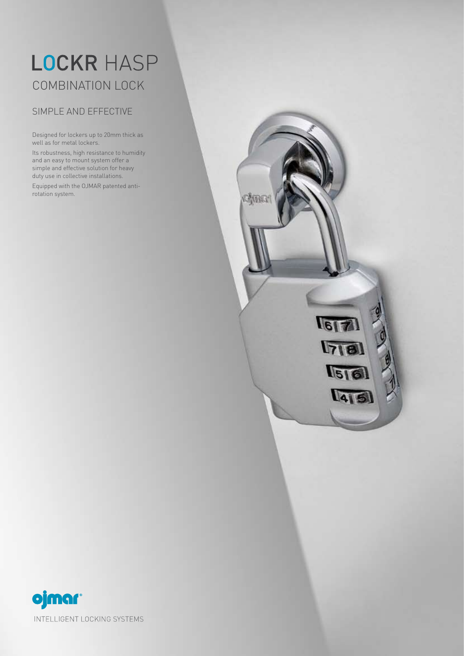## LOCKR HASP COMBINATION LOCK

## SIMPLE AND EFFECTIVE

Designed for lockers up to 20mm thick as well as for metal lockers.

Its robustness, high resistance to humidity and an easy to mount system offer a simple and effective solution for heavy duty use in collective installations.

Equipped with the OJMAR patented antirotation system.